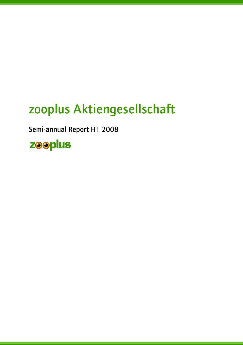# zooplus Aktiengesellschaft

Semi-annual Report H1 2008

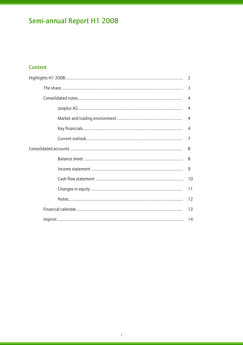### Content

|  |  | 4              |
|--|--|----------------|
|  |  | $\overline{4}$ |
|  |  | 4              |
|  |  | 7              |
|  |  | 8              |
|  |  | 8              |
|  |  | $\overline{9}$ |
|  |  |                |
|  |  | 11             |
|  |  | 12             |
|  |  | 13             |
|  |  |                |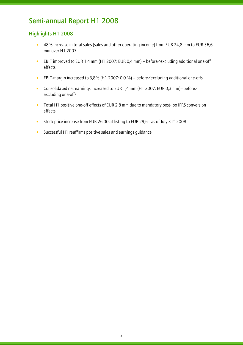### Highlights H1 2008

- 48% increase in total sales (sales and other operating income) from EUR 24,8 mm to EUR 36,6 mm over H1 2007
- EBIT improved to EUR 1,4 mm (H1 2007: EUR 0,4 mm) before/excluding additional one-off effects
- EBIT-margin increased to 3,8% (H1 2007: 0,0 %) before/excluding additional one-offs
- Consolidated net earnings increased to EUR 1,4 mm (H1 2007: EUR 0,3 mm) before/ excluding one-offs
- Total H1 positive one-off effects of EUR 2,8 mm due to mandatory post-ipo IFRS conversion effects
- Stock price increase from EUR 26,00 at listing to EUR 29,61 as of July 31 $\mathrm{^{st}}$  2008
- Successful H1 reaffirms positive sales and earnings guidance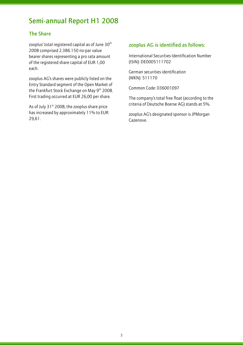### The Share

l

zooplus' total registered capital as of June  $30<sup>th</sup>$ 2008 comprised 2.386.150 no-par value bearer shares representing a pro rata amount of the registered share capital of EUR 1,00 each.

zooplus AG's shares were publicly listed on the Entry Standard segment of the Open Market of the Frankfurt Stock Exchange on May 9<sup>th</sup> 2008. First trading occurred at EUR 26,00 per share.

As of July  $31<sup>st</sup>$  2008, the zooplus share price has increased by approximately 11% to EUR 29,61.

### zooplus AG is identified as follows:

International Securities Identification Number (ISIN): DE0005111702

German securities identification (WKN): 511170

Common Code: 036001097

The company's total free float (according to the criteria of Deutsche Boerse AG) stands at 5%.

zooplus AG's designated sponsor is JPMorgan Cazenove.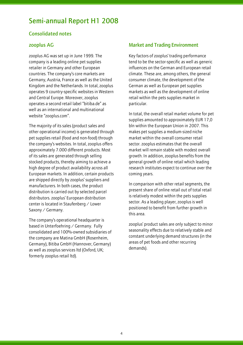### Consolidated notes

### zooplus AG

l

zooplus AG was set up in June 1999. The company is a leading online pet supplies retailer in Germany and other European countries. The company's core markets are Germany, Austria, France as well as the United Kingdom and the Netherlands. In total, zooplus operates 9 country-specific websites in Western and Central Europe. Moreover, zooplus operates a second retail label "bitiba.de" as well as an international and multinational website "zooplus.com".

The majority of its sales (product sales and other operational income) is generated through pet supplies retail (food and non-food) through the company's websites. In total, zooplus offers approximately 7.000 different products. Most of its sales are generated through selling stocked products, thereby aiming to achieve a high degree of product availability across all European markets. In addition, certain products are shipped directly by zooplus' suppliers and manufacturers. In both cases, the product distribution is carried out by selected parcel distributors. zooplus' European distribution center is located in Staufenberg / Lower Saxony / Germany.

The company's operational headquarter is based in Unterfoehring / Germany. Fully consolidated and 100%-owned subsidiaries of the company are Matina GmbH (Rosenheim, Germany), Bitiba GmbH (Hannover, Germany) as well as zooplus services ltd (Oxford, UK; formerly zooplus retail ltd).

### Market and Trading Environment

Key factors of zooplus' trading performance tend to be the sector-specific as well as generic influences on the German and European retail climate. These are, among others, the general consumer climate, the development of the German as well as European pet supplies markets as well as the development of online retail within the pets supplies market in particular.

In total, the overall retail market volume for pet supplies amounted to approximately EUR 17,0 bln within the European Union in 2007. This makes pet supplies a medium-sized niche market within the overall consumer retail sector. zooplus estimates that the overall market will remain stable with modest overall growth. In addition, zooplus benefits from the general growth of online retail which leading research institutes expect to continue over the coming years.

In comparison with other retail segments, the present share of online retail out of total retail is relatively modest within the pets supplies sector. As a leading player, zooplus is well positioned to benefit from further growth in this area.

zooplus' product sales are only subject to minor seasonality effects due to relatively stable and constant underlying demand structures (in the areas of pet foods and other recurring demands).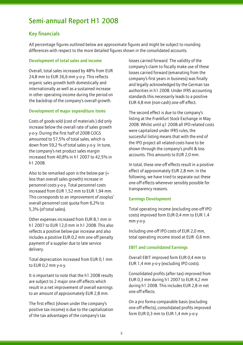### Key financials

l

All percentage figures outlined below are approximate figures and might be subject to rounding differences with respect to the more detailed figures shown in the consolidated accounts.

#### Development of total sales and income

Overall, total sales increased by 48% from EUR 24,8 mm to EUR 36,6 mm y-o-y. This reflects organic sales growth both domestically and internationally as well as a sustained increase in other operating income during the period on the backdrop of the company's overall growth.

#### Development of major expenditure items

Costs of goods sold (cost of materials ) did only increase below the overall rate of sales growth y-o-y. During the first half of 2008 COGS amounted to 57,5% of total sales, which is down from 59,2 % of total sales y-o-y. In tune, the company's net product sales margin increased from 40,8% in h1 2007 to 42,5% in h1 2008.

Also to be remarked upon is the below-par  $(=$ less than overall sales growth) increase in personnel costs y-o-y. Total personnel costs increased from EUR 1,52 mm to EUR 1,94 mm. This corresponds to an improvement of zooplus' overall personnel cost quota from 6,2% to 5,3% (of total sales).

Other expenses increased from EUR 8,1 mm in h1 2007 to EUR 12,0 mm in h1 2008. This also reflects a positive below-par increase and also includes a positive EUR 0,2 mm one-off penalty payment of a supplier due to late service delivery.

Total depreciation increased from EUR 0,1 mm to EUR 0,2 mm y-o-y.

It is important to note that the h1 2008 results are subject to 2 major one-off effects which result in a net improvement of overall earnings to an amount of approximately EUR 2,8 mm.

The first effect (shown under the company's positive tax income) is due to the capitalization of the tax advantages of the company's tax

losses carried forward. The validity of the company's claim to fiscally make use of these losses carried forward (emanating from the company's first years in business) was finally and legally acknowledged by the German tax authorities in h1 2008. Under IFRS accounting standards this necessarily leads to a positive EUR 4,8 mm (non-cash) one-off effect.

The second effect is due to the company's listing at the Frankfurt Stock Exchange in May 2008. Whilst until q1 2008 all IPO-related costs were capitalized under IFRS rules, the successful listing means that with the end of the IPO project all related costs have to be shown through the company's profit & loss accounts. This amounts to EUR 2,0 mm.

In total, these one-off effects result in a positive effect of approximately EUR 2,8 mm. In the following, we have tried to separate out these one-off effects whenever sensibly possible for transparency reasons.

#### Earnings Development

Total operating income (excluding one-off IPO costs) improved form EUR 0,4 mm to EUR 1,4 mm y-o-y.

Including one-off IPO costs of EUR 2,0 mm, total operating income stood at EUR -0,6 mm.

#### EBIT and consolidated Earnings

Overall EBIT improved form EUR 0,4 mm to EUR 1,4 mm y-o-y (excluding IPO costs).

Consolidated profits (after tax) improved from EUR 0,3 mm during h1 2007 to EUR 4,2 mm during h1 2008. This includes EUR 2,8 in net one-off effects.

On a pro forma comparable basis (excluding one-off effects), consolidated profits improved form EUR 0,3 mm to EUR 1,4 mm y-o-y.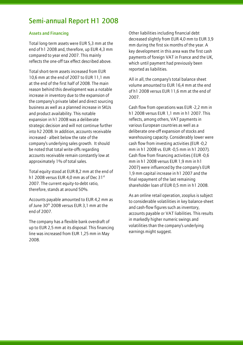#### Assets and Financing

l

Total long-term assets were EUR 5,3 mm at the end of h1 2008 and, therefore, up EUR 4,3 mm compared to year end 2007. This mainly reflects the one-off tax effect described above.

Total short-term assets increased from EUR 10,6 mm at the end of 2007 to EUR 11,1 mm at the end of the first half of 2008. The main reason behind this development was a notable increase in inventory due to the expansion of the company's private label and direct sourcing business as well as a planned increase in SKUs and product availability. This notable expansion in h1 2008 was a deliberate strategic decision and will not continue further into h2 2008. In addition, accounts receivable increased - albeit below the rate of the company's underlying sales growth. It should be noted that total write-offs regarding accounts receivable remain constantly low at approximately 1% of total sales.

Total equity stood at EUR 8,2 mm at the end of h1 2008 versus EUR 4.0 mm as of Dec  $31<sup>st</sup>$ 2007. The current equity-to-debt ratio, therefore, stands at around 50%.

Accounts payable amounted to EUR 4,2 mm as of June 30<sup>th</sup> 2008 versus EUR 3.1 mm at the end of 2007.

The company has a flexible bank overdraft of up to EUR 2,5 mm at its disposal. This financing line was increased from EUR 1,25 mm in May 2008.

Other liabilities including financial debt decreased slightly from EUR 4,0 mm to EUR 3,9 mm during the first six months of the year. A key development in this area was the first cash payments of foreign VAT in France and the UK, which until payment had previously been reported as liabilities.

All in all, the company's total balance sheet volume amounted to EUR 16,4 mm at the end of h1 2008 versus EUR 11,6 mm at the end of 2007.

Cash flow from operations was EUR -2,2 mm in h1 2008 versus EUR 1,1 mm in h1 2007. This reflects, among others, VAT payments in various European countries as well as a deliberate one-off expansion of stocks and warehousing capacity. Considerably lower were cash flow from investing activities (EUR -0,2 mm in h1 2008 vs. EUR -0,5 mm in h1 2007). Cash flow from financing activities ( EUR -0,6 mm in h1 2008 versus EUR 1,9 mm in h1 2007) were influenced by the company's EUR 1,9 mm capital increase in h1 2007 and the final repayment of the last remaining shareholder loan of EUR 0,5 mm in h1 2008.

As an online retail operation, zooplus is subject to considerable volatilities in key balance-sheet and cash-flow figures such as inventory, accounts payable or VAT liabilities. This results in markedly higher numeric swings and volatilities than the company's underlying earnings might suggest.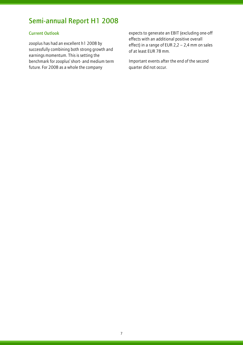### Current Outlook

l

zooplus has had an excellent h1 2008 by successfully combining both strong growth and earnings momentum. This is setting the benchmark for zooplus' short- and medium term future. For 2008 as a whole the company

expects to generate an EBIT (excluding one-off effects with an additional positive overall effect) in a range of EUR 2,2 – 2,4 mm on sales of at least EUR 78 mm.

Important events after the end of the second quarter did not occur.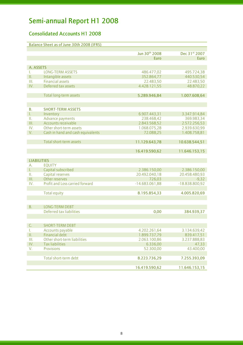### Consolidated Accounts H1 2008

|                    | Balance Sheet as of June 30th 2008 (IFRS) |                  |                |  |  |
|--------------------|-------------------------------------------|------------------|----------------|--|--|
|                    |                                           |                  |                |  |  |
|                    |                                           | Jun 30th 2008    | Dec 31st 2007  |  |  |
|                    |                                           | <b>Euro</b>      | <b>Euro</b>    |  |  |
|                    |                                           |                  |                |  |  |
| A. ASSETS          |                                           |                  |                |  |  |
| I.                 | <b>LONG-TERM ASSETS</b>                   | 486.477,02       | 495.724,38     |  |  |
| П.                 | Intangible assets                         | 352.864,77       | 440.530,54     |  |  |
| III.               | <b>Financial assets</b>                   | 22.483,50        | 22.483,50      |  |  |
| IV.                | Deferred tax assets                       | 4.428.121,55     | 48.870,22      |  |  |
|                    |                                           |                  |                |  |  |
|                    | Total long-term assets                    | 5.289.946,84     | 1.007.608,64   |  |  |
|                    |                                           |                  |                |  |  |
|                    |                                           |                  |                |  |  |
| <b>B.</b>          | <b>SHORT-TERM ASSETS</b>                  |                  |                |  |  |
| L.                 | Inventory                                 | 6.907.443,31     | 3.347.914,84   |  |  |
| Ш.                 | Advance payments<br>Accounts receivable   | 238.468,42       | 369.983,34     |  |  |
| III.               |                                           | 2.843.568,52     | 2.572.256,53   |  |  |
| IV.                | Other short-term assets                   | 1.068.075,28     | 2.939.630,99   |  |  |
| V.                 | Cash in hand and cash equivalents         | 72.088,25        | 1.408.758,81   |  |  |
|                    | Total short-term assets                   |                  |                |  |  |
|                    |                                           | 11.129.643,78    | 10.638.544,51  |  |  |
|                    |                                           | 16.419.590,62    | 11.646.153,15  |  |  |
|                    |                                           |                  |                |  |  |
| <b>LIABILITIES</b> |                                           |                  |                |  |  |
| А.                 | <b>EQUITY</b>                             |                  |                |  |  |
| L.                 | Capital subscribed                        | 2.386.150,00     | 2.386.150,00   |  |  |
| П.                 | Capital reserves                          | 20.492.040,18    | 20.458.480,93  |  |  |
| Ш.                 | Other reserves                            | 726,03           | $-9,32$        |  |  |
| IV.                | Profit and Loss carried forward           | $-14.683.061,88$ | -18.838.800,92 |  |  |
|                    |                                           |                  |                |  |  |
|                    | <b>Total equity</b>                       | 8.195.854,33     | 4.005.820,69   |  |  |
|                    |                                           |                  |                |  |  |
|                    |                                           |                  |                |  |  |
| В.                 | <b>LONG-TERM DEBT</b>                     |                  |                |  |  |
|                    | Deferred tax liabilities                  | 0,00             | 384.939,37     |  |  |
|                    |                                           |                  |                |  |  |
|                    |                                           |                  |                |  |  |
| C.                 | <b>SHORT-TERM DEBT</b>                    |                  |                |  |  |
| I.                 | Accounts payable                          | 4.202.261,64     | 3.134.639,42   |  |  |
| П.                 | <b>Financial debt</b>                     | 1.899.737,79     | 839.417,51     |  |  |
| Ш.                 | Other short-term liabilities              | 2.063.100,86     | 3.237.888,83   |  |  |
| IV.                | <b>Tax liabilities</b>                    | 6.336,00         | 47,33          |  |  |
| V.                 | <b>Provisions</b>                         | 52.300,00        | 43.400,00      |  |  |
|                    |                                           |                  |                |  |  |
|                    | Total short-term debt                     | 8.223.736,29     | 7.255.393,09   |  |  |
|                    |                                           |                  |                |  |  |
|                    |                                           | 16.419.590,62    | 11.646.153,15  |  |  |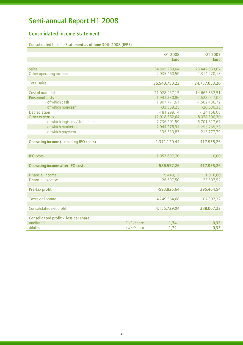### Consolidated Income Statement

| Consolidated Income Statement as of June 30th 2008 (IFRS) |  |
|-----------------------------------------------------------|--|
|                                                           |  |

|                                               |           | Q1 2008          | Q1 2007          |
|-----------------------------------------------|-----------|------------------|------------------|
|                                               |           | <b>Euro</b>      | <b>Euro</b>      |
|                                               |           |                  |                  |
| <b>Sales</b>                                  |           | 34.505.289,64    | 23.442.833,07    |
| Other operating income                        |           | 2.035.460,59     | 1.314.220,13     |
|                                               |           |                  |                  |
| <b>Total sales</b>                            |           | 36.540.750,23    | 24.757.053,20    |
|                                               |           |                  |                  |
| Cost of materials                             |           | $-21.028.437,15$ | $-14.663.332,51$ |
| Personnel costs                               |           | $-1.941.330,86$  | $-1.523.017,05$  |
| of which cash                                 |           | $-1.907.771,61$  | $-1.502.436,72$  |
| of which non-cash                             |           | $-33.559,25$     | $-20.630,33$     |
| Depreciation                                  |           | $-181.299,14$    | $-124.158,08$    |
| Other expenses                                |           | $-12.018.562,64$ | $-8.028.590,30$  |
| of which logistics / fulfillment              |           | $-7.736.201,59$  | $-5.701.617,67$  |
| of which marketing                            |           | $-2.044.278,91$  | $-1.255.255.76$  |
| of which payment                              |           | $-336.339.83$    | $-213.772,79$    |
|                                               |           |                  |                  |
| <b>Operating income (excluding IPO costs)</b> |           | 1.371.120,44     | 417.955,26       |
|                                               |           |                  |                  |
|                                               |           |                  |                  |
| <b>IPO</b> costs                              |           | $-1.957.697,70$  | 0,00             |
|                                               |           |                  |                  |
| <b>Operating income after IPO costs</b>       |           | $-586.577,26$    | 417.955,26       |
|                                               |           |                  |                  |
| <b>Financial income</b>                       |           | 19.449,12        | 1.016,80         |
| <b>Financial expense</b>                      |           | $-26.697,50$     | $-23.507,52$     |
|                                               |           |                  |                  |
| Pre-tax profit                                |           | $-593.825,64$    | 395.464,54       |
|                                               |           |                  |                  |
| Taxes on income                               |           | 4.749.564,68     | $-107.397,32$    |
|                                               |           |                  |                  |
| Consolidated net profit                       |           | 4.155.739,04     | 288.067,22       |
|                                               |           |                  |                  |
| Consolidated profit / loss per share          |           |                  |                  |
| undiluted                                     | EUR/share | 1,74             | 0,33             |
| diluted                                       | EUR/share | 1,72             | 0,33             |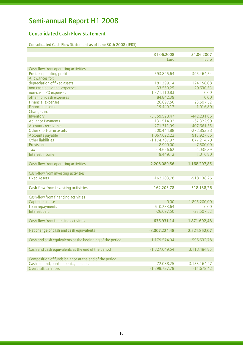### Consolidated Cash Flow Statement

| Consolidated Cash Flow Statement as of June 30th 2008 (IFRS) |  |  |
|--------------------------------------------------------------|--|--|
|--------------------------------------------------------------|--|--|

| <b>Euro</b><br>Euro<br>Cash-flow from operating activities<br>Pre-tax operating profit<br>$-593.825,64$<br>395.464,54<br>Allowances for:<br>depreciation of fixed assets<br>181.299,14<br>124.158,08<br>non-cash personnel expenses<br>33.559,25<br>20.630,33<br>non-cash IPO expenses<br>1.371.110,83<br>0,00<br>other non-cash expenses<br>84.842,39<br>0,00<br><b>Financial expenses</b><br>26.697,50<br>23.507,52<br>Financial income<br>$-19.449, 12$<br>$-1.016,80$<br>Changes in:<br>Inventory<br>$-3.559.528,47$<br>$-442.231,86$<br><b>Advance Payments</b><br>131.514,92<br>$-67.322,90$<br><b>Accounts receivable</b><br>$-271.311,99$<br>$-407.661,55$<br>Other short-term assets<br>500.444,88<br>$-272.853,28$<br>1.067.622,22<br>913.927,66<br>Accounts payable<br><b>Other liabilities</b><br>$-1.174.787,97$<br>877.214,70<br>8.900,00<br>7.500,00<br>Provisions<br>$-14.626,62$<br>$-4.035,39$<br>Tax<br>Interest income<br>1.016,80<br>19.449,12<br>1.168.297,85<br>Cash-flow from operating activities<br>$-2.208.089,56$<br>Cash-flow from investing activities<br><b>Fixed Assets</b><br>$-162.203,78$<br>$-518.138,26$<br><b>Cash-flow from investing activities</b><br>$-162.203,78$<br>$-518.138,26$<br>Cash-flow from financing activities<br>Capital increase<br>0,00<br>1.895.200,00<br>$-610.233,64$<br>Loan repayments<br>0,00<br>$-26.697,50$<br>Interest paid<br>$-23.507,52$<br>Cash-flow from financing activities<br>$-636.931,14$<br>1.871.692,48<br>Net change of cash and cash equivalents<br>$-3.007.224,48$<br>2.521.852,07<br>Cash and cash equivalents at the beginning of the period<br>1.179.574,94<br>596.632,78<br>Cash and cash equivalents at the end of the period<br>$-1.827.649,54$<br>3.118.484,85<br>Composition of funds balance at the end of the period<br>Cash in hand, bank deposits, cheques<br>72.088,25<br>3.133.164,27<br>Overdraft balances<br>$-1.899.737,79$<br>$-14.679,42$ | 31.06.2008 | 31.06.2007 |
|-----------------------------------------------------------------------------------------------------------------------------------------------------------------------------------------------------------------------------------------------------------------------------------------------------------------------------------------------------------------------------------------------------------------------------------------------------------------------------------------------------------------------------------------------------------------------------------------------------------------------------------------------------------------------------------------------------------------------------------------------------------------------------------------------------------------------------------------------------------------------------------------------------------------------------------------------------------------------------------------------------------------------------------------------------------------------------------------------------------------------------------------------------------------------------------------------------------------------------------------------------------------------------------------------------------------------------------------------------------------------------------------------------------------------------------------------------------------------------------------------------------------------------------------------------------------------------------------------------------------------------------------------------------------------------------------------------------------------------------------------------------------------------------------------------------------------------------------------------------------------------------------------------------------------------------------------|------------|------------|
|                                                                                                                                                                                                                                                                                                                                                                                                                                                                                                                                                                                                                                                                                                                                                                                                                                                                                                                                                                                                                                                                                                                                                                                                                                                                                                                                                                                                                                                                                                                                                                                                                                                                                                                                                                                                                                                                                                                                               |            |            |
|                                                                                                                                                                                                                                                                                                                                                                                                                                                                                                                                                                                                                                                                                                                                                                                                                                                                                                                                                                                                                                                                                                                                                                                                                                                                                                                                                                                                                                                                                                                                                                                                                                                                                                                                                                                                                                                                                                                                               |            |            |
|                                                                                                                                                                                                                                                                                                                                                                                                                                                                                                                                                                                                                                                                                                                                                                                                                                                                                                                                                                                                                                                                                                                                                                                                                                                                                                                                                                                                                                                                                                                                                                                                                                                                                                                                                                                                                                                                                                                                               |            |            |
|                                                                                                                                                                                                                                                                                                                                                                                                                                                                                                                                                                                                                                                                                                                                                                                                                                                                                                                                                                                                                                                                                                                                                                                                                                                                                                                                                                                                                                                                                                                                                                                                                                                                                                                                                                                                                                                                                                                                               |            |            |
|                                                                                                                                                                                                                                                                                                                                                                                                                                                                                                                                                                                                                                                                                                                                                                                                                                                                                                                                                                                                                                                                                                                                                                                                                                                                                                                                                                                                                                                                                                                                                                                                                                                                                                                                                                                                                                                                                                                                               |            |            |
|                                                                                                                                                                                                                                                                                                                                                                                                                                                                                                                                                                                                                                                                                                                                                                                                                                                                                                                                                                                                                                                                                                                                                                                                                                                                                                                                                                                                                                                                                                                                                                                                                                                                                                                                                                                                                                                                                                                                               |            |            |
|                                                                                                                                                                                                                                                                                                                                                                                                                                                                                                                                                                                                                                                                                                                                                                                                                                                                                                                                                                                                                                                                                                                                                                                                                                                                                                                                                                                                                                                                                                                                                                                                                                                                                                                                                                                                                                                                                                                                               |            |            |
|                                                                                                                                                                                                                                                                                                                                                                                                                                                                                                                                                                                                                                                                                                                                                                                                                                                                                                                                                                                                                                                                                                                                                                                                                                                                                                                                                                                                                                                                                                                                                                                                                                                                                                                                                                                                                                                                                                                                               |            |            |
|                                                                                                                                                                                                                                                                                                                                                                                                                                                                                                                                                                                                                                                                                                                                                                                                                                                                                                                                                                                                                                                                                                                                                                                                                                                                                                                                                                                                                                                                                                                                                                                                                                                                                                                                                                                                                                                                                                                                               |            |            |
|                                                                                                                                                                                                                                                                                                                                                                                                                                                                                                                                                                                                                                                                                                                                                                                                                                                                                                                                                                                                                                                                                                                                                                                                                                                                                                                                                                                                                                                                                                                                                                                                                                                                                                                                                                                                                                                                                                                                               |            |            |
|                                                                                                                                                                                                                                                                                                                                                                                                                                                                                                                                                                                                                                                                                                                                                                                                                                                                                                                                                                                                                                                                                                                                                                                                                                                                                                                                                                                                                                                                                                                                                                                                                                                                                                                                                                                                                                                                                                                                               |            |            |
|                                                                                                                                                                                                                                                                                                                                                                                                                                                                                                                                                                                                                                                                                                                                                                                                                                                                                                                                                                                                                                                                                                                                                                                                                                                                                                                                                                                                                                                                                                                                                                                                                                                                                                                                                                                                                                                                                                                                               |            |            |
|                                                                                                                                                                                                                                                                                                                                                                                                                                                                                                                                                                                                                                                                                                                                                                                                                                                                                                                                                                                                                                                                                                                                                                                                                                                                                                                                                                                                                                                                                                                                                                                                                                                                                                                                                                                                                                                                                                                                               |            |            |
|                                                                                                                                                                                                                                                                                                                                                                                                                                                                                                                                                                                                                                                                                                                                                                                                                                                                                                                                                                                                                                                                                                                                                                                                                                                                                                                                                                                                                                                                                                                                                                                                                                                                                                                                                                                                                                                                                                                                               |            |            |
|                                                                                                                                                                                                                                                                                                                                                                                                                                                                                                                                                                                                                                                                                                                                                                                                                                                                                                                                                                                                                                                                                                                                                                                                                                                                                                                                                                                                                                                                                                                                                                                                                                                                                                                                                                                                                                                                                                                                               |            |            |
|                                                                                                                                                                                                                                                                                                                                                                                                                                                                                                                                                                                                                                                                                                                                                                                                                                                                                                                                                                                                                                                                                                                                                                                                                                                                                                                                                                                                                                                                                                                                                                                                                                                                                                                                                                                                                                                                                                                                               |            |            |
|                                                                                                                                                                                                                                                                                                                                                                                                                                                                                                                                                                                                                                                                                                                                                                                                                                                                                                                                                                                                                                                                                                                                                                                                                                                                                                                                                                                                                                                                                                                                                                                                                                                                                                                                                                                                                                                                                                                                               |            |            |
|                                                                                                                                                                                                                                                                                                                                                                                                                                                                                                                                                                                                                                                                                                                                                                                                                                                                                                                                                                                                                                                                                                                                                                                                                                                                                                                                                                                                                                                                                                                                                                                                                                                                                                                                                                                                                                                                                                                                               |            |            |
|                                                                                                                                                                                                                                                                                                                                                                                                                                                                                                                                                                                                                                                                                                                                                                                                                                                                                                                                                                                                                                                                                                                                                                                                                                                                                                                                                                                                                                                                                                                                                                                                                                                                                                                                                                                                                                                                                                                                               |            |            |
|                                                                                                                                                                                                                                                                                                                                                                                                                                                                                                                                                                                                                                                                                                                                                                                                                                                                                                                                                                                                                                                                                                                                                                                                                                                                                                                                                                                                                                                                                                                                                                                                                                                                                                                                                                                                                                                                                                                                               |            |            |
|                                                                                                                                                                                                                                                                                                                                                                                                                                                                                                                                                                                                                                                                                                                                                                                                                                                                                                                                                                                                                                                                                                                                                                                                                                                                                                                                                                                                                                                                                                                                                                                                                                                                                                                                                                                                                                                                                                                                               |            |            |
|                                                                                                                                                                                                                                                                                                                                                                                                                                                                                                                                                                                                                                                                                                                                                                                                                                                                                                                                                                                                                                                                                                                                                                                                                                                                                                                                                                                                                                                                                                                                                                                                                                                                                                                                                                                                                                                                                                                                               |            |            |
|                                                                                                                                                                                                                                                                                                                                                                                                                                                                                                                                                                                                                                                                                                                                                                                                                                                                                                                                                                                                                                                                                                                                                                                                                                                                                                                                                                                                                                                                                                                                                                                                                                                                                                                                                                                                                                                                                                                                               |            |            |
|                                                                                                                                                                                                                                                                                                                                                                                                                                                                                                                                                                                                                                                                                                                                                                                                                                                                                                                                                                                                                                                                                                                                                                                                                                                                                                                                                                                                                                                                                                                                                                                                                                                                                                                                                                                                                                                                                                                                               |            |            |
|                                                                                                                                                                                                                                                                                                                                                                                                                                                                                                                                                                                                                                                                                                                                                                                                                                                                                                                                                                                                                                                                                                                                                                                                                                                                                                                                                                                                                                                                                                                                                                                                                                                                                                                                                                                                                                                                                                                                               |            |            |
|                                                                                                                                                                                                                                                                                                                                                                                                                                                                                                                                                                                                                                                                                                                                                                                                                                                                                                                                                                                                                                                                                                                                                                                                                                                                                                                                                                                                                                                                                                                                                                                                                                                                                                                                                                                                                                                                                                                                               |            |            |
|                                                                                                                                                                                                                                                                                                                                                                                                                                                                                                                                                                                                                                                                                                                                                                                                                                                                                                                                                                                                                                                                                                                                                                                                                                                                                                                                                                                                                                                                                                                                                                                                                                                                                                                                                                                                                                                                                                                                               |            |            |
|                                                                                                                                                                                                                                                                                                                                                                                                                                                                                                                                                                                                                                                                                                                                                                                                                                                                                                                                                                                                                                                                                                                                                                                                                                                                                                                                                                                                                                                                                                                                                                                                                                                                                                                                                                                                                                                                                                                                               |            |            |
|                                                                                                                                                                                                                                                                                                                                                                                                                                                                                                                                                                                                                                                                                                                                                                                                                                                                                                                                                                                                                                                                                                                                                                                                                                                                                                                                                                                                                                                                                                                                                                                                                                                                                                                                                                                                                                                                                                                                               |            |            |
|                                                                                                                                                                                                                                                                                                                                                                                                                                                                                                                                                                                                                                                                                                                                                                                                                                                                                                                                                                                                                                                                                                                                                                                                                                                                                                                                                                                                                                                                                                                                                                                                                                                                                                                                                                                                                                                                                                                                               |            |            |
|                                                                                                                                                                                                                                                                                                                                                                                                                                                                                                                                                                                                                                                                                                                                                                                                                                                                                                                                                                                                                                                                                                                                                                                                                                                                                                                                                                                                                                                                                                                                                                                                                                                                                                                                                                                                                                                                                                                                               |            |            |
|                                                                                                                                                                                                                                                                                                                                                                                                                                                                                                                                                                                                                                                                                                                                                                                                                                                                                                                                                                                                                                                                                                                                                                                                                                                                                                                                                                                                                                                                                                                                                                                                                                                                                                                                                                                                                                                                                                                                               |            |            |
|                                                                                                                                                                                                                                                                                                                                                                                                                                                                                                                                                                                                                                                                                                                                                                                                                                                                                                                                                                                                                                                                                                                                                                                                                                                                                                                                                                                                                                                                                                                                                                                                                                                                                                                                                                                                                                                                                                                                               |            |            |
|                                                                                                                                                                                                                                                                                                                                                                                                                                                                                                                                                                                                                                                                                                                                                                                                                                                                                                                                                                                                                                                                                                                                                                                                                                                                                                                                                                                                                                                                                                                                                                                                                                                                                                                                                                                                                                                                                                                                               |            |            |
|                                                                                                                                                                                                                                                                                                                                                                                                                                                                                                                                                                                                                                                                                                                                                                                                                                                                                                                                                                                                                                                                                                                                                                                                                                                                                                                                                                                                                                                                                                                                                                                                                                                                                                                                                                                                                                                                                                                                               |            |            |
|                                                                                                                                                                                                                                                                                                                                                                                                                                                                                                                                                                                                                                                                                                                                                                                                                                                                                                                                                                                                                                                                                                                                                                                                                                                                                                                                                                                                                                                                                                                                                                                                                                                                                                                                                                                                                                                                                                                                               |            |            |
|                                                                                                                                                                                                                                                                                                                                                                                                                                                                                                                                                                                                                                                                                                                                                                                                                                                                                                                                                                                                                                                                                                                                                                                                                                                                                                                                                                                                                                                                                                                                                                                                                                                                                                                                                                                                                                                                                                                                               |            |            |
|                                                                                                                                                                                                                                                                                                                                                                                                                                                                                                                                                                                                                                                                                                                                                                                                                                                                                                                                                                                                                                                                                                                                                                                                                                                                                                                                                                                                                                                                                                                                                                                                                                                                                                                                                                                                                                                                                                                                               |            |            |
|                                                                                                                                                                                                                                                                                                                                                                                                                                                                                                                                                                                                                                                                                                                                                                                                                                                                                                                                                                                                                                                                                                                                                                                                                                                                                                                                                                                                                                                                                                                                                                                                                                                                                                                                                                                                                                                                                                                                               |            |            |
|                                                                                                                                                                                                                                                                                                                                                                                                                                                                                                                                                                                                                                                                                                                                                                                                                                                                                                                                                                                                                                                                                                                                                                                                                                                                                                                                                                                                                                                                                                                                                                                                                                                                                                                                                                                                                                                                                                                                               |            |            |
|                                                                                                                                                                                                                                                                                                                                                                                                                                                                                                                                                                                                                                                                                                                                                                                                                                                                                                                                                                                                                                                                                                                                                                                                                                                                                                                                                                                                                                                                                                                                                                                                                                                                                                                                                                                                                                                                                                                                               |            |            |
|                                                                                                                                                                                                                                                                                                                                                                                                                                                                                                                                                                                                                                                                                                                                                                                                                                                                                                                                                                                                                                                                                                                                                                                                                                                                                                                                                                                                                                                                                                                                                                                                                                                                                                                                                                                                                                                                                                                                               |            |            |
|                                                                                                                                                                                                                                                                                                                                                                                                                                                                                                                                                                                                                                                                                                                                                                                                                                                                                                                                                                                                                                                                                                                                                                                                                                                                                                                                                                                                                                                                                                                                                                                                                                                                                                                                                                                                                                                                                                                                               |            |            |
|                                                                                                                                                                                                                                                                                                                                                                                                                                                                                                                                                                                                                                                                                                                                                                                                                                                                                                                                                                                                                                                                                                                                                                                                                                                                                                                                                                                                                                                                                                                                                                                                                                                                                                                                                                                                                                                                                                                                               |            |            |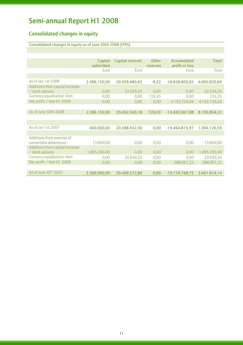### Consolidated changes in equity

l

### Consolidated changes in equity as of June 30th 2008 (IFRS)

|                                 | Capital      | <b>Capital reserves</b> | Other    | Accumulated      | <b>Total</b> |
|---------------------------------|--------------|-------------------------|----------|------------------|--------------|
|                                 | subscribed   |                         | reserves | profit or loss   |              |
|                                 | Euro         | Furo                    |          | Euro             | Euro         |
|                                 |              |                         |          |                  |              |
| As of Jan 1st 2008              | 2.386.150,00 | 20.458.480,93           | $-9,32$  | $-18.838.800,92$ | 4.005.820,69 |
| Additions from capital increase |              |                         |          |                  |              |
| / stock options                 | 0,00         | 33.559,25               | 0,00     | 0,00             | 33.559,25    |
| Currency equalisation item      | 0,00         | 0,00                    | 735,35   | 0,00             | 735,35       |
| Net profit / loss H1 2008       | 0,00         | 0,00                    | 0,00     | 4.155.739,04     | 4.155.739,04 |
|                                 |              |                         |          |                  |              |
| As of June 30th 2008            | 2.386.150,00 | 20.492.040,18           | 726,03   | $-14.683.061,88$ | 8.195.854,33 |
|                                 |              |                         |          |                  |              |
|                                 |              |                         |          |                  |              |
| As of Jan 1st 2007              | 460.000,00   | 20.388.942,56           | 0,00     | $-19.464.815,97$ | 1.384.126,59 |
|                                 |              |                         |          |                  |              |
| Additions from exercise of      |              |                         |          |                  |              |
| convertible debentures          | 13.800,00    | 0,00                    | 0,00     | 0,00             | 13.800,00    |
| Additions from capital increase |              |                         |          |                  |              |
| / stock options                 | 1.895.200,00 | 0,00                    | 0,00     | 0,00             | 1.895.200,00 |
| Currency equalisation item      | 0,00         | 20.630,33               | 0,00     | 0,00             | 20.630,33    |
| Net profit / loss H1 2008       | 0,00         | 0,00                    | 0,00     | 288.067,22       | 288.067,22   |
|                                 |              |                         |          |                  |              |
| As of June 30th 2007            | 2.369.000,00 | 20.409.572,89           | 0,00     | $-19.176.748.75$ | 3.601.824,14 |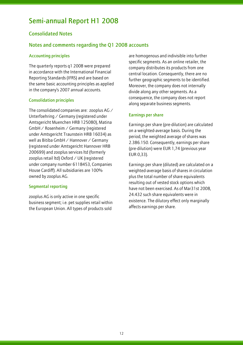### Consolidated Notes

l

### Notes and comments regarding the Q1 2008 accounts

#### Accounting principles

The quarterly reports q1 2008 were prepared in accordance with the International Financial Reporting Standards (IFRS) and are based on the same basic accounting principles as applied in the company's 2007 annual accounts.

#### Consolidation principles

The consolidated companies are: zooplus AG / Unterfoehring / Germany (registered under Amtsgericht Muenchen HRB 125080), Matina GmbH / Rosenheim / Germany (registered under Amtsgericht Traunstein HRB 16034) as well as Bitiba GmbH / Hannover / Germany (registered under Amtsgericht Hannover HRB 200699) and zooplus services ltd (formerly zooplus retail ltd) Oxford / UK (registered under company number 6118453, Companies House Cardiff). All subsidiaries are 100% owned by zooplus AG.

### Segmental reporting

zooplus AG is only active in one specific business segment; i.e. pet supplies retail within the European Union. All types of products sold

are homogenous and indivisible into further specific segments. As an online retailer, the company distributes its products from one central location. Consequently, there are no further geographic segments to be identified. Moreover, the company does not internally divide along any other segments. As a consequence, the company does not report along separate business segments.

### Earnings per share

Earnings per share (pre-dilution) are calculated on a weighted-average basis. During the period, the weighted average of shares was 2.386.150. Consequently, earnings per share (pre-dilution) were EUR 1,74 (previous year EUR 0,33).

Earnings per share (diluted) are calculated on a weighted-average basis of shares in circulation plus the total number of share equivalents resulting out of vested stock options which have not been exercised. As of Mar31st 2008, 24.432 such share equivalents were in existence. The dilutory effect only marginally affects earnings per share.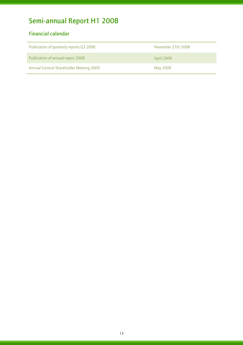### Financial calendar

| Publication of quarterly reports Q3 2008 | November 27th 2008 |
|------------------------------------------|--------------------|
| Publication of annual report 2008        | April 2009         |
| Annual General Shareholder Meeting 2009  | May 2009           |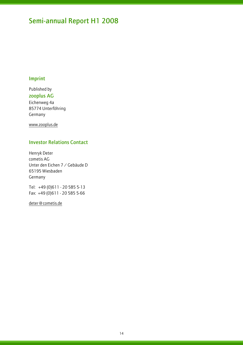### Imprint

l

Published by zooplus AG Eichenweg 4a 85774 Unterföhring Germany

www.zooplus.de

### Investor Relations Contact

Henryk Deter cometis AG Unter den Eichen 7 / Gebäude D 65195 Wiesbaden Germany

Tel: +49 (0)611 - 20 585 5-13 Fax: +49 (0)611 - 20 585 5-66

deter@cometis.de